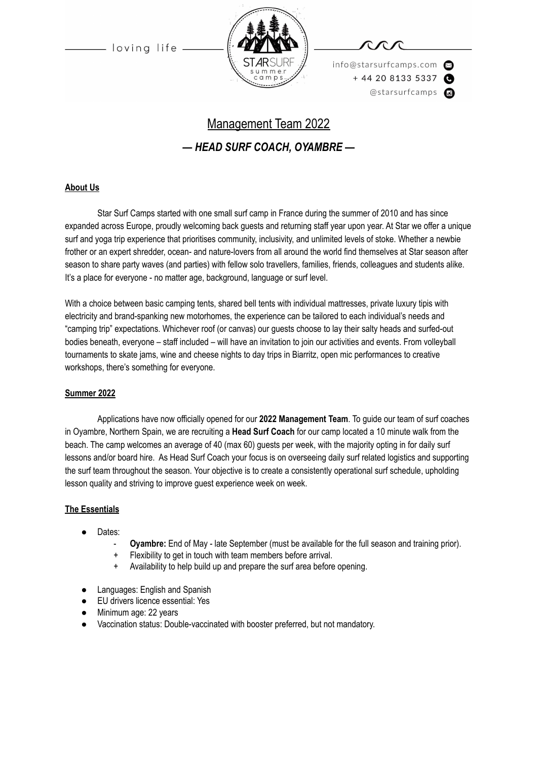

info@starsurfcamps.com  $+442081335337$ @starsurfcamps @

# Management Team 2022 *— HEAD SURF COACH, OYAMBRE —*

# **About Us**

Star Surf Camps started with one small surf camp in France during the summer of 2010 and has since expanded across Europe, proudly welcoming back guests and returning staff year upon year. At Star we offer a unique surf and yoga trip experience that prioritises community, inclusivity, and unlimited levels of stoke. Whether a newbie frother or an expert shredder, ocean- and nature-lovers from all around the world find themselves at Star season after season to share party waves (and parties) with fellow solo travellers, families, friends, colleagues and students alike. It's a place for everyone - no matter age, background, language or surf level.

With a choice between basic camping tents, shared bell tents with individual mattresses, private luxury tipis with electricity and brand-spanking new motorhomes, the experience can be tailored to each individual's needs and "camping trip" expectations. Whichever roof (or canvas) our guests choose to lay their salty heads and surfed-out bodies beneath, everyone – staff included – will have an invitation to join our activities and events. From volleyball tournaments to skate jams, wine and cheese nights to day trips in Biarritz, open mic performances to creative workshops, there's something for everyone.

#### **Summer 2022**

Applications have now officially opened for our **2022 Management Team**. To guide our team of surf coaches in Oyambre, Northern Spain, we are recruiting a **Head Surf Coach** for our camp located a 10 minute walk from the beach. The camp welcomes an average of 40 (max 60) guests per week, with the majority opting in for daily surf lessons and/or board hire. As Head Surf Coach your focus is on overseeing daily surf related logistics and supporting the surf team throughout the season. Your objective is to create a consistently operational surf schedule, upholding lesson quality and striving to improve guest experience week on week.

#### **The Essentials**

- Dates:
	- **Oyambre:** End of May late September (must be available for the full season and training prior).
	- Flexibility to get in touch with team members before arrival.
	- Availability to help build up and prepare the surf area before opening.
- Languages: English and Spanish
- **EU drivers licence essential: Yes**
- Minimum age: 22 years
- Vaccination status: Double-vaccinated with booster preferred, but not mandatory.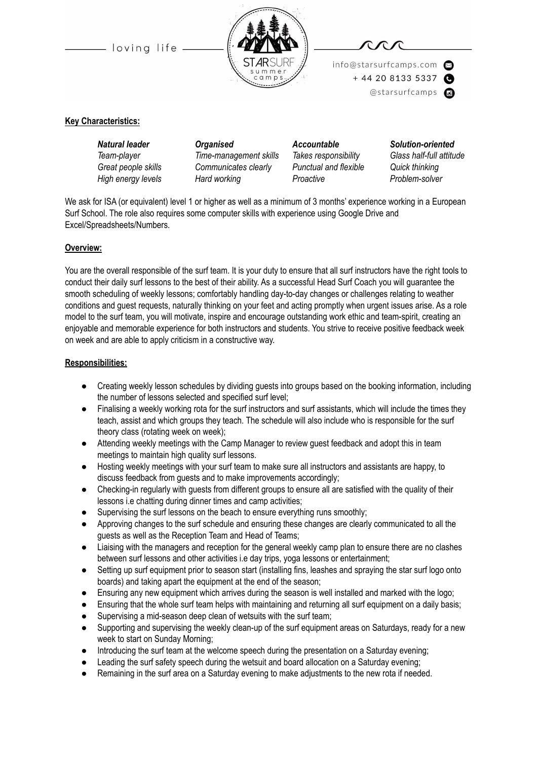



info@starsurfcamps.com  $+442081335337$ 

@starsurfcamps @

# **Key Characteristics:**

*Natural leader Organised Accountable Solution-oriented Team-player Time-management skills Takes responsibility Glass half-full attitude Great people skills Communicates clearly Punctual and flexible Quick thinking High energy levels Hard working Proactive Problem-solver*

We ask for ISA (or equivalent) level 1 or higher as well as a minimum of 3 months' experience working in a European Surf School. The role also requires some computer skills with experience using Google Drive and Excel/Spreadsheets/Numbers.

### **Overview:**

You are the overall responsible of the surf team. It is your duty to ensure that all surf instructors have the right tools to conduct their daily surf lessons to the best of their ability. As a successful Head Surf Coach you will guarantee the smooth scheduling of weekly lessons; comfortably handling day-to-day changes or challenges relating to weather conditions and guest requests, naturally thinking on your feet and acting promptly when urgent issues arise. As a role model to the surf team, you will motivate, inspire and encourage outstanding work ethic and team-spirit, creating an enjoyable and memorable experience for both instructors and students. You strive to receive positive feedback week on week and are able to apply criticism in a constructive way.

### **Responsibilities:**

- Creating weekly lesson schedules by dividing guests into groups based on the booking information, including the number of lessons selected and specified surf level;
- Finalising a weekly working rota for the surf instructors and surf assistants, which will include the times they teach, assist and which groups they teach. The schedule will also include who is responsible for the surf theory class (rotating week on week);
- Attending weekly meetings with the Camp Manager to review guest feedback and adopt this in team meetings to maintain high quality surf lessons.
- Hosting weekly meetings with your surf team to make sure all instructors and assistants are happy, to discuss feedback from guests and to make improvements accordingly;
- Checking-in regularly with guests from different groups to ensure all are satisfied with the quality of their lessons i.e chatting during dinner times and camp activities;
- Supervising the surf lessons on the beach to ensure everything runs smoothly;
- Approving changes to the surf schedule and ensuring these changes are clearly communicated to all the guests as well as the Reception Team and Head of Teams;
- Liaising with the managers and reception for the general weekly camp plan to ensure there are no clashes between surf lessons and other activities i.e day trips, yoga lessons or entertainment;
- Setting up surf equipment prior to season start (installing fins, leashes and spraying the star surf logo onto boards) and taking apart the equipment at the end of the season;
- Ensuring any new equipment which arrives during the season is well installed and marked with the logo;
- Ensuring that the whole surf team helps with maintaining and returning all surf equipment on a daily basis;
- Supervising a mid-season deep clean of wetsuits with the surf team;
- Supporting and supervising the weekly clean-up of the surf equipment areas on Saturdays, ready for a new week to start on Sunday Morning;
- Introducing the surf team at the welcome speech during the presentation on a Saturday evening;
- Leading the surf safety speech during the wetsuit and board allocation on a Saturday evening;
- Remaining in the surf area on a Saturday evening to make adjustments to the new rota if needed.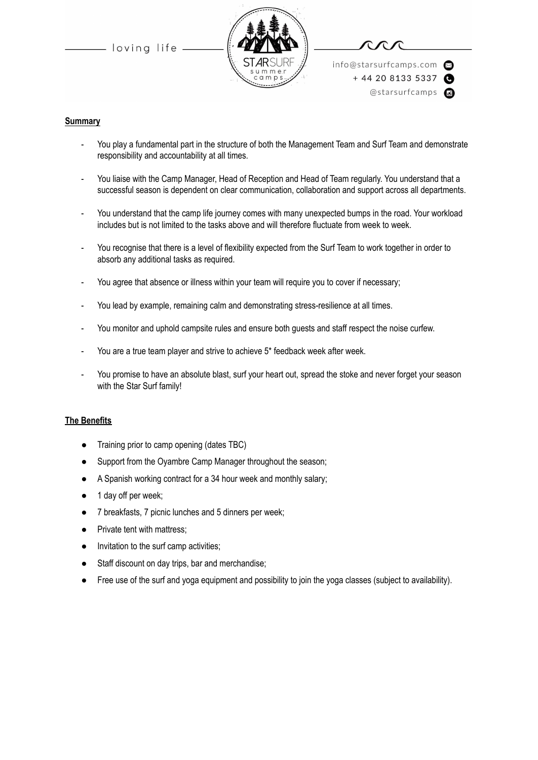



info@starsurfcamps.com  $+442081335337$ @starsurfcamps @

#### **Summary**

- You play a fundamental part in the structure of both the Management Team and Surf Team and demonstrate responsibility and accountability at all times.
- You liaise with the Camp Manager, Head of Reception and Head of Team regularly. You understand that a successful season is dependent on clear communication, collaboration and support across all departments.
- You understand that the camp life journey comes with many unexpected bumps in the road. Your workload includes but is not limited to the tasks above and will therefore fluctuate from week to week.
- You recognise that there is a level of flexibility expected from the Surf Team to work together in order to absorb any additional tasks as required.
- You agree that absence or illness within your team will require you to cover if necessary;
- You lead by example, remaining calm and demonstrating stress-resilience at all times.
- You monitor and uphold campsite rules and ensure both guests and staff respect the noise curfew.
- You are a true team player and strive to achieve 5\* feedback week after week.
- You promise to have an absolute blast, surf your heart out, spread the stoke and never forget your season with the Star Surf family!

#### **The Benefits**

- Training prior to camp opening (dates TBC)
- Support from the Oyambre Camp Manager throughout the season;
- A Spanish working contract for a 34 hour week and monthly salary;
- 1 day off per week;
- 7 breakfasts, 7 picnic lunches and 5 dinners per week;
- Private tent with mattress:
- Invitation to the surf camp activities;
- Staff discount on day trips, bar and merchandise;
- Free use of the surf and yoga equipment and possibility to join the yoga classes (subject to availability).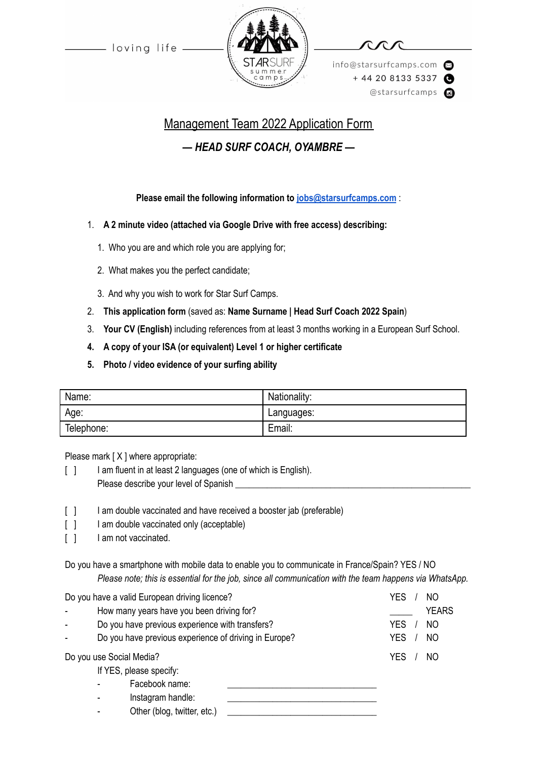



info@starsurfcamps.com  $+442081335337$ @starsurfcamps @

# Management Team 2022 Application Form *— HEAD SURF COACH, OYAMBRE —*

# **Please email the following information to [jobs@starsurfcamps.com](mailto:jobs@starsurfcamps.com)** :

- 1. **A 2 minute video (attached via Google Drive with free access) describing:**
	- 1️. Who you are and which role you are applying for;
	- 2. What makes you the perfect candidate;
	- 3️. And why you wish to work for Star Surf Camps.
- 2. **This application form** (saved as: **Name Surname | Head Surf Coach 2022 Spain**)
- 3. **Your CV (English)** including references from at least 3 months working in a European Surf School.
- **4. A copy of your ISA (or equivalent) Level 1 or higher certificate**
- **5. Photo / video evidence of your surfing ability**

| Name:      | Nationality: |
|------------|--------------|
| Age:       | Languages:   |
| Telephone: | Email:       |

Please mark [ X ] where appropriate:

- [ ] I am fluent in at least 2 languages (one of which is English). Please describe your level of Spanish \_\_\_\_\_\_\_\_\_\_\_\_\_\_\_\_\_\_\_\_\_\_\_\_\_\_\_\_\_\_\_\_\_\_\_\_\_\_\_\_\_\_\_\_\_\_\_\_\_\_\_\_
- [ ] I am double vaccinated and have received a booster jab (preferable)
- [ ] I am double vaccinated only (acceptable)
- [ ] I am not vaccinated.

Do you have a smartphone with mobile data to enable you to communicate in France/Spain? YES / NO *Please note; this is essential for the job, since all communication with the team happens via WhatsApp.*

| Do you have a valid European driving licence? |                          | <b>YES</b><br>NO                                      |                              |
|-----------------------------------------------|--------------------------|-------------------------------------------------------|------------------------------|
|                                               |                          | How many years have you been driving for?             | <b>YEARS</b>                 |
|                                               |                          | Do you have previous experience with transfers?       | <b>YES</b><br>N <sub>O</sub> |
|                                               |                          | Do you have previous experience of driving in Europe? | <b>YES</b><br>N <sub>O</sub> |
| Do you use Social Media?                      |                          | YES<br>NO                                             |                              |
|                                               |                          | If YES, please specify:                               |                              |
|                                               | ٠                        | Facebook name:                                        |                              |
|                                               | $\overline{\phantom{a}}$ | Instagram handle:                                     |                              |
|                                               |                          | Other (blog, twitter, etc.)                           |                              |